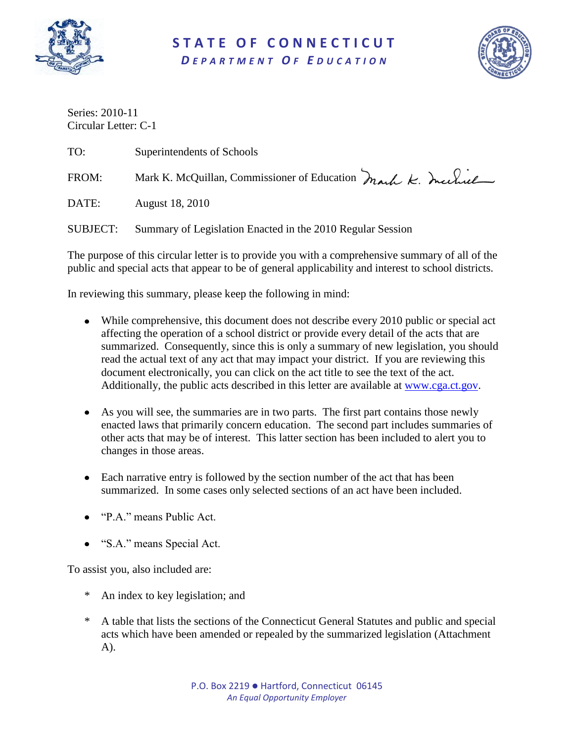

# **S T A T E O F C O N N E C T I C U T**

*D E P A R T M E N T O F E D U C A T I O N*



Series: 2010-11 Circular Letter: C-1

| TO:             | Superintendents of Schools                                   |
|-----------------|--------------------------------------------------------------|
| FROM:           | Mark K. McQuillan, Commissioner of Education mark K. Include |
| DATE:           | August 18, 2010                                              |
| <b>SUBJECT:</b> | Summary of Legislation Enacted in the 2010 Regular Session   |

The purpose of this circular letter is to provide you with a comprehensive summary of all of the public and special acts that appear to be of general applicability and interest to school districts.

In reviewing this summary, please keep the following in mind:

- While comprehensive, this document does not describe every 2010 public or special act affecting the operation of a school district or provide every detail of the acts that are summarized. Consequently, since this is only a summary of new legislation, you should read the actual text of any act that may impact your district. If you are reviewing this document electronically, you can click on the act title to see the text of the act. Additionally, the public acts described in this letter are available at [www.cga.ct.gov.](http://www.cga.ct.gov/)
- As you will see, the summaries are in two parts. The first part contains those newly enacted laws that primarily concern education. The second part includes summaries of other acts that may be of interest. This latter section has been included to alert you to changes in those areas.
- Each narrative entry is followed by the section number of the act that has been summarized. In some cases only selected sections of an act have been included.
- "P.A." means Public Act.
- "S.A." means Special Act.

To assist you, also included are:

- \* An index to key legislation; and
- \* A table that lists the sections of the Connecticut General Statutes and public and special acts which have been amended or repealed by the summarized legislation (Attachment A).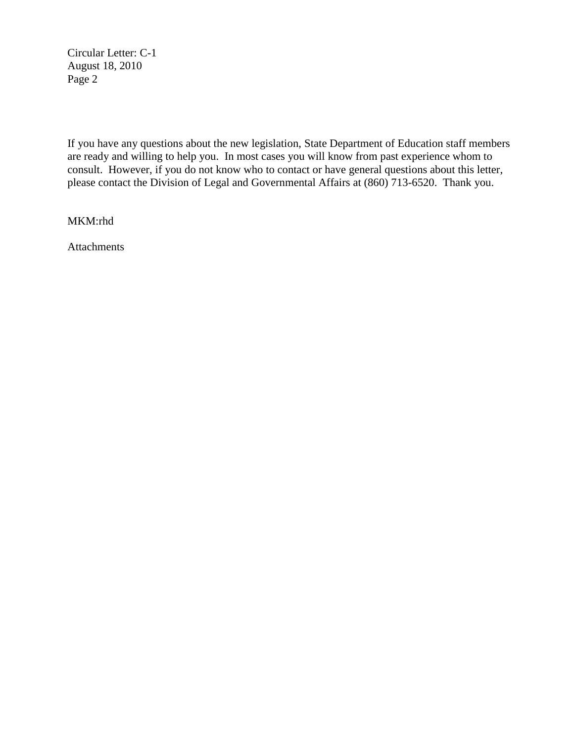Circular Letter: C-1 August 18, 2010 Page 2

If you have any questions about the new legislation, State Department of Education staff members are ready and willing to help you. In most cases you will know from past experience whom to consult. However, if you do not know who to contact or have general questions about this letter, please contact the Division of Legal and Governmental Affairs at (860) 713-6520. Thank you.

MKM:rhd

Attachments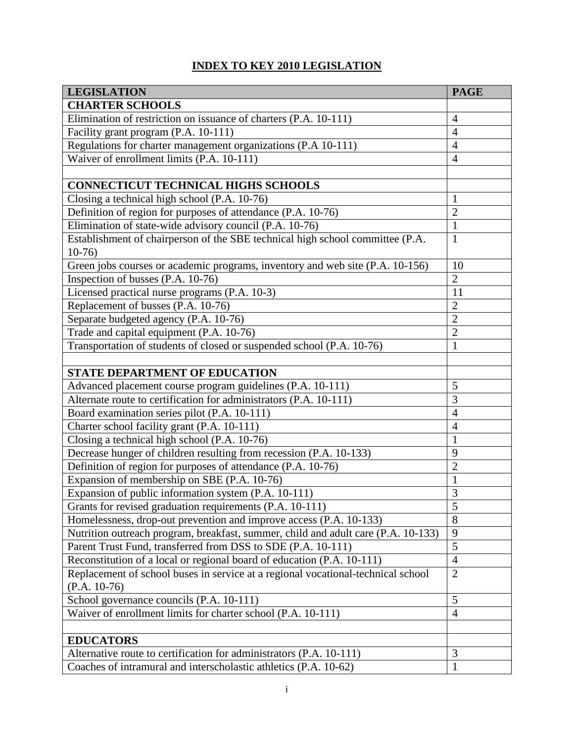# **INDEX TO KEY 2010 LEGISLATION**

| <b>LEGISLATION</b>                                                                | <b>PAGE</b>    |  |
|-----------------------------------------------------------------------------------|----------------|--|
| <b>CHARTER SCHOOLS</b>                                                            |                |  |
| Elimination of restriction on issuance of charters (P.A. 10-111)                  | $\overline{4}$ |  |
| Facility grant program (P.A. 10-111)                                              | 4              |  |
| Regulations for charter management organizations (P.A 10-111)                     | $\overline{4}$ |  |
| Waiver of enrollment limits (P.A. 10-111)                                         | 4              |  |
|                                                                                   |                |  |
| <b>CONNECTICUT TECHNICAL HIGHS SCHOOLS</b>                                        |                |  |
| Closing a technical high school (P.A. 10-76)                                      | 1              |  |
| Definition of region for purposes of attendance (P.A. 10-76)                      | $\overline{2}$ |  |
| Elimination of state-wide advisory council (P.A. 10-76)                           | 1              |  |
| Establishment of chairperson of the SBE technical high school committee (P.A.     | 1              |  |
| $10-76$                                                                           |                |  |
| Green jobs courses or academic programs, inventory and web site (P.A. 10-156)     | 10             |  |
| Inspection of busses (P.A. 10-76)                                                 | $\overline{2}$ |  |
| Licensed practical nurse programs (P.A. 10-3)                                     | 11             |  |
| Replacement of busses (P.A. 10-76)                                                | $\overline{2}$ |  |
| Separate budgeted agency (P.A. 10-76)                                             | $\overline{2}$ |  |
| Trade and capital equipment (P.A. 10-76)                                          | $\overline{c}$ |  |
| Transportation of students of closed or suspended school (P.A. 10-76)             | $\mathbf{1}$   |  |
|                                                                                   |                |  |
| <b>STATE DEPARTMENT OF EDUCATION</b>                                              |                |  |
| Advanced placement course program guidelines (P.A. 10-111)                        | 5              |  |
| Alternate route to certification for administrators (P.A. 10-111)                 | $\overline{3}$ |  |
| Board examination series pilot (P.A. 10-111)                                      |                |  |
| Charter school facility grant (P.A. 10-111)                                       |                |  |
| Closing a technical high school (P.A. 10-76)                                      |                |  |
| Decrease hunger of children resulting from recession (P.A. 10-133)                |                |  |
| Definition of region for purposes of attendance (P.A. 10-76)                      | $\overline{2}$ |  |
| Expansion of membership on SBE (P.A. 10-76)                                       | 1              |  |
| Expansion of public information system (P.A. 10-111)                              | 3              |  |
| Grants for revised graduation requirements (P.A. 10-111)                          | 5              |  |
| Homelessness, drop-out prevention and improve access (P.A. 10-133)                |                |  |
| Nutrition outreach program, breakfast, summer, child and adult care (P.A. 10-133) |                |  |
| Parent Trust Fund, transferred from DSS to SDE (P.A. 10-111)                      | 5              |  |
| Reconstitution of a local or regional board of education (P.A. 10-111)            |                |  |
| Replacement of school buses in service at a regional vocational-technical school  |                |  |
| $(P.A. 10-76)$                                                                    |                |  |
| School governance councils (P.A. 10-111)                                          | 5              |  |
| Waiver of enrollment limits for charter school (P.A. 10-111)                      | $\overline{4}$ |  |
|                                                                                   |                |  |
| <b>EDUCATORS</b>                                                                  |                |  |
| Alternative route to certification for administrators (P.A. 10-111)               | 3              |  |
| Coaches of intramural and interscholastic athletics (P.A. 10-62)                  | 1              |  |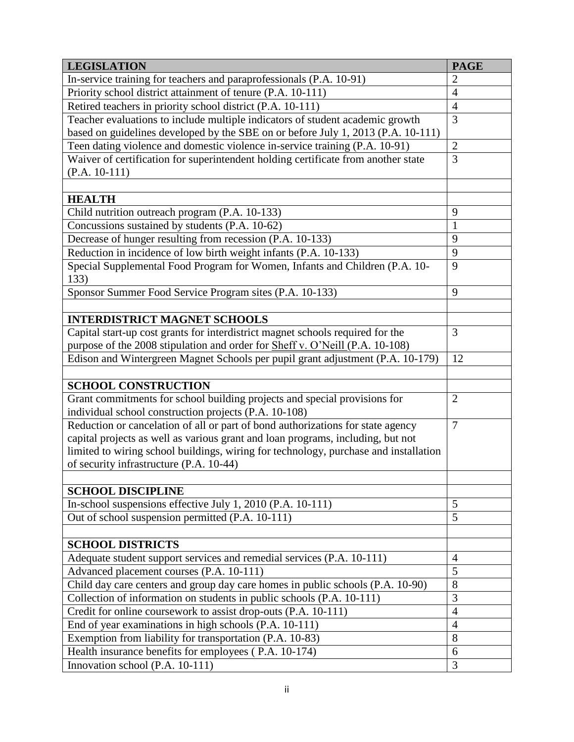| <b>LEGISLATION</b>                                                                   | <b>PAGE</b>    |  |
|--------------------------------------------------------------------------------------|----------------|--|
| In-service training for teachers and paraprofessionals (P.A. 10-91)                  | $\overline{2}$ |  |
| Priority school district attainment of tenure (P.A. 10-111)                          |                |  |
| Retired teachers in priority school district (P.A. 10-111)                           |                |  |
| Teacher evaluations to include multiple indicators of student academic growth        |                |  |
| based on guidelines developed by the SBE on or before July 1, 2013 (P.A. 10-111)     |                |  |
| Teen dating violence and domestic violence in-service training (P.A. 10-91)          | $\overline{2}$ |  |
| Waiver of certification for superintendent holding certificate from another state    | 3              |  |
| $(P.A. 10-111)$                                                                      |                |  |
|                                                                                      |                |  |
| <b>HEALTH</b>                                                                        |                |  |
| Child nutrition outreach program (P.A. 10-133)                                       | 9              |  |
| Concussions sustained by students (P.A. 10-62)                                       | $\mathbf{1}$   |  |
| Decrease of hunger resulting from recession (P.A. 10-133)                            | 9              |  |
| Reduction in incidence of low birth weight infants (P.A. 10-133)                     | 9              |  |
| Special Supplemental Food Program for Women, Infants and Children (P.A. 10-          | 9              |  |
| 133)                                                                                 |                |  |
| Sponsor Summer Food Service Program sites (P.A. 10-133)                              | 9              |  |
|                                                                                      |                |  |
| <b>INTERDISTRICT MAGNET SCHOOLS</b>                                                  |                |  |
| Capital start-up cost grants for interdistrict magnet schools required for the       | 3              |  |
| purpose of the 2008 stipulation and order for <b>Sheff</b> v. O'Neill (P.A. 10-108)  |                |  |
| Edison and Wintergreen Magnet Schools per pupil grant adjustment (P.A. 10-179)       | 12             |  |
|                                                                                      |                |  |
| <b>SCHOOL CONSTRUCTION</b>                                                           |                |  |
| Grant commitments for school building projects and special provisions for            | $\overline{2}$ |  |
| individual school construction projects (P.A. 10-108)                                |                |  |
| Reduction or cancelation of all or part of bond authorizations for state agency      | $\tau$         |  |
| capital projects as well as various grant and loan programs, including, but not      |                |  |
| limited to wiring school buildings, wiring for technology, purchase and installation |                |  |
| of security infrastructure (P.A. 10-44)                                              |                |  |
|                                                                                      |                |  |
| <b>SCHOOL DISCIPLINE</b>                                                             |                |  |
| In-school suspensions effective July 1, 2010 (P.A. 10-111)                           | 5<br>5         |  |
| Out of school suspension permitted (P.A. 10-111)                                     |                |  |
|                                                                                      |                |  |
| <b>SCHOOL DISTRICTS</b>                                                              | $\overline{4}$ |  |
| Adequate student support services and remedial services (P.A. 10-111)                |                |  |
| Advanced placement courses (P.A. 10-111)                                             |                |  |
| Child day care centers and group day care homes in public schools (P.A. 10-90)       |                |  |
| Collection of information on students in public schools (P.A. 10-111)                |                |  |
| Credit for online coursework to assist drop-outs (P.A. 10-111)                       |                |  |
| End of year examinations in high schools (P.A. 10-111)                               | $\overline{4}$ |  |
| Exemption from liability for transportation (P.A. 10-83)                             | 8              |  |
| Health insurance benefits for employees (P.A. 10-174)                                | 6              |  |
| Innovation school (P.A. 10-111)                                                      | 3              |  |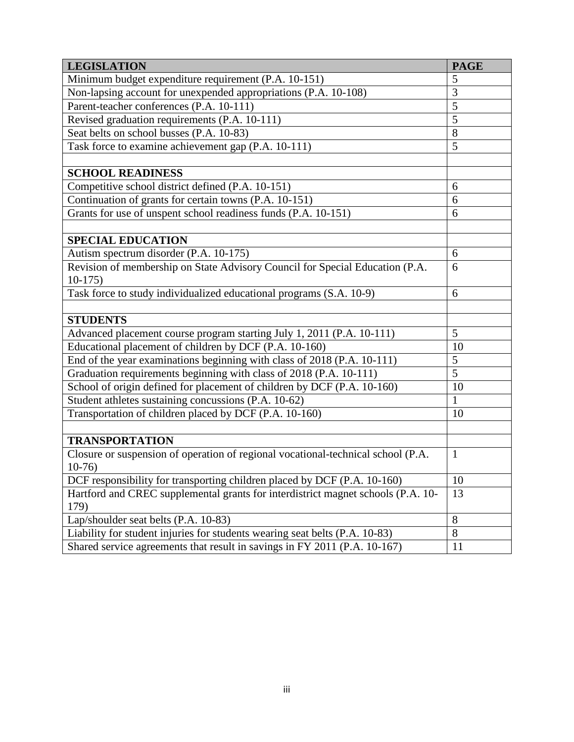| <b>LEGISLATION</b>                                                               | <b>PAGE</b>    |
|----------------------------------------------------------------------------------|----------------|
| Minimum budget expenditure requirement (P.A. 10-151)                             | 5              |
| Non-lapsing account for unexpended appropriations (P.A. 10-108)                  | $\overline{3}$ |
| Parent-teacher conferences (P.A. 10-111)                                         | 5              |
| Revised graduation requirements (P.A. 10-111)                                    | 5              |
| Seat belts on school busses (P.A. 10-83)                                         | 8              |
| Task force to examine achievement gap (P.A. 10-111)                              | 5              |
|                                                                                  |                |
| <b>SCHOOL READINESS</b>                                                          |                |
| Competitive school district defined (P.A. 10-151)                                | 6              |
| Continuation of grants for certain towns (P.A. 10-151)                           | 6              |
| Grants for use of unspent school readiness funds (P.A. 10-151)                   | 6              |
|                                                                                  |                |
| <b>SPECIAL EDUCATION</b>                                                         |                |
| Autism spectrum disorder (P.A. 10-175)                                           | 6              |
| Revision of membership on State Advisory Council for Special Education (P.A.     | 6              |
| $10-175$                                                                         |                |
| Task force to study individualized educational programs (S.A. 10-9)              | 6              |
|                                                                                  |                |
| <b>STUDENTS</b>                                                                  |                |
| Advanced placement course program starting July 1, 2011 (P.A. 10-111)            | 5              |
| Educational placement of children by DCF (P.A. 10-160)                           | 10             |
| End of the year examinations beginning with class of 2018 (P.A. 10-111)          | 5              |
| Graduation requirements beginning with class of 2018 (P.A. 10-111)               | 5              |
| School of origin defined for placement of children by DCF (P.A. 10-160)          | 10             |
| Student athletes sustaining concussions (P.A. 10-62)                             | 1              |
| Transportation of children placed by DCF (P.A. 10-160)                           | 10             |
|                                                                                  |                |
| <b>TRANSPORTATION</b>                                                            |                |
| Closure or suspension of operation of regional vocational-technical school (P.A. | $\mathbf{1}$   |
| $10-76$                                                                          |                |
| DCF responsibility for transporting children placed by DCF (P.A. 10-160)         | 10             |
| Hartford and CREC supplemental grants for interdistrict magnet schools (P.A. 10- | 13             |
| 179)                                                                             | 8              |
| Lap/shoulder seat belts (P.A. 10-83)                                             |                |
| Liability for student injuries for students wearing seat belts (P.A. 10-83)      | 8<br>11        |
| Shared service agreements that result in savings in FY 2011 (P.A. 10-167)        |                |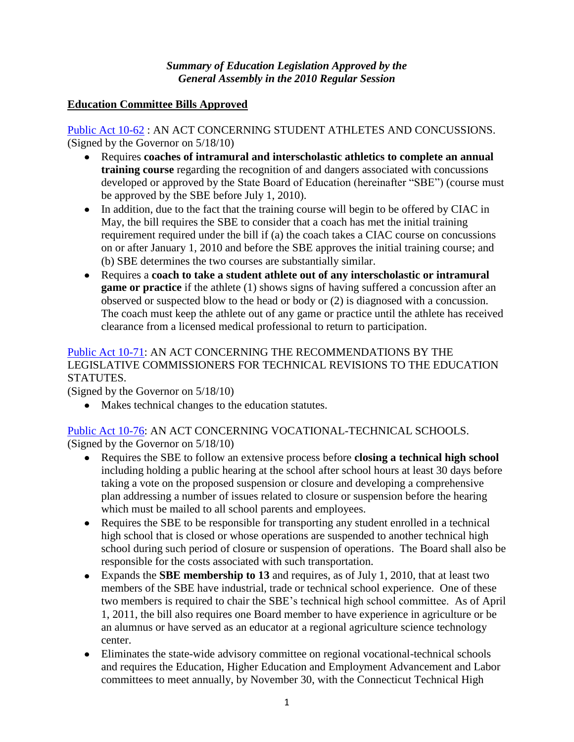# **Education Committee Bills Approved**

[Public Act 10-62](http://www.cga.ct.gov/2010/ACT/Pa/pdf/2010PA-00062-R00SB-00456-PA.pdf) : AN ACT CONCERNING STUDENT ATHLETES AND CONCUSSIONS. (Signed by the Governor on 5/18/10)

- Requires **coaches of intramural and interscholastic athletics to complete an annual training course** regarding the recognition of and dangers associated with concussions developed or approved by the State Board of Education (hereinafter "SBE") (course must be approved by the SBE before July 1, 2010).
- In addition, due to the fact that the training course will begin to be offered by CIAC in May, the bill requires the SBE to consider that a coach has met the initial training requirement required under the bill if (a) the coach takes a CIAC course on concussions on or after January 1, 2010 and before the SBE approves the initial training course; and (b) SBE determines the two courses are substantially similar.
- Requires a **coach to take a student athlete out of any interscholastic or intramural game or practice** if the athlete (1) shows signs of having suffered a concussion after an observed or suspected blow to the head or body or (2) is diagnosed with a concussion. The coach must keep the athlete out of any game or practice until the athlete has received clearance from a licensed medical professional to return to participation.

### [Public Act 10-71:](http://www.cga.ct.gov/2010/ACT/Pa/pdf/2010PA-00071-R00SB-00275-PA.pdf) AN ACT CONCERNING THE RECOMMENDATIONS BY THE LEGISLATIVE COMMISSIONERS FOR TECHNICAL REVISIONS TO THE EDUCATION STATUTES.

(Signed by the Governor on 5/18/10)

• Makes technical changes to the education statutes.

# [Public Act 10-76:](http://www.cga.ct.gov/2010/ACT/Pa/pdf/2010PA-00076-R00SB-00379-PA.pdf) AN ACT CONCERNING VOCATIONAL-TECHNICAL SCHOOLS. (Signed by the Governor on 5/18/10)

- Requires the SBE to follow an extensive process before **closing a technical high school** including holding a public hearing at the school after school hours at least 30 days before taking a vote on the proposed suspension or closure and developing a comprehensive plan addressing a number of issues related to closure or suspension before the hearing which must be mailed to all school parents and employees.
- Requires the SBE to be responsible for transporting any student enrolled in a technical high school that is closed or whose operations are suspended to another technical high school during such period of closure or suspension of operations. The Board shall also be responsible for the costs associated with such transportation.
- Expands the **SBE membership to 13** and requires, as of July 1, 2010, that at least two members of the SBE have industrial, trade or technical school experience. One of these two members is required to chair the SBE's technical high school committee. As of April 1, 2011, the bill also requires one Board member to have experience in agriculture or be an alumnus or have served as an educator at a regional agriculture science technology center.
- Eliminates the state-wide advisory committee on regional vocational-technical schools and requires the Education, Higher Education and Employment Advancement and Labor committees to meet annually, by November 30, with the Connecticut Technical High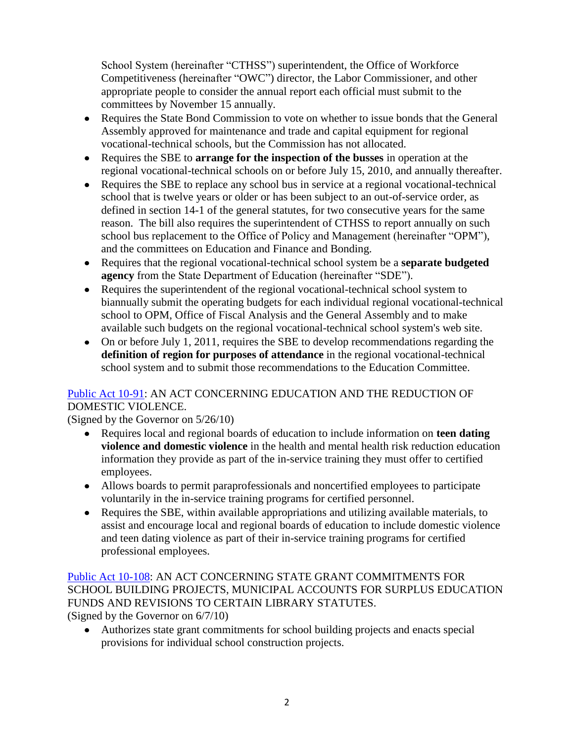School System (hereinafter "CTHSS") superintendent, the Office of Workforce Competitiveness (hereinafter "OWC") director, the Labor Commissioner, and other appropriate people to consider the annual report each official must submit to the committees by November 15 annually.

- Requires the State Bond Commission to vote on whether to issue bonds that the General Assembly approved for maintenance and trade and capital equipment for regional vocational-technical schools, but the Commission has not allocated.
- Requires the SBE to **arrange for the inspection of the busses** in operation at the regional vocational-technical schools on or before July 15, 2010, and annually thereafter.
- Requires the SBE to replace any school bus in service at a regional vocational-technical school that is twelve years or older or has been subject to an out-of-service order, as defined in section 14-1 of the general statutes, for two consecutive years for the same reason. The bill also requires the superintendent of CTHSS to report annually on such school bus replacement to the Office of Policy and Management (hereinafter "OPM"), and the committees on Education and Finance and Bonding.
- Requires that the regional vocational-technical school system be a **separate budgeted agency** from the State Department of Education (hereinafter "SDE").
- Requires the superintendent of the regional vocational-technical school system to biannually submit the operating budgets for each individual regional vocational-technical school to OPM, Office of Fiscal Analysis and the General Assembly and to make available such budgets on the regional vocational-technical school system's web site.
- On or before July 1, 2011, requires the SBE to develop recommendations regarding the **definition of region for purposes of attendance** in the regional vocational-technical school system and to submit those recommendations to the Education Committee.

# [Public Act 10-91:](http://www.cga.ct.gov/2010/ACT/Pa/pdf/2010PA-00091-R00HB-05315-PA.pdf) AN ACT CONCERNING EDUCATION AND THE REDUCTION OF DOMESTIC VIOLENCE.

(Signed by the Governor on 5/26/10)

- $\bullet$ Requires local and regional boards of education to include information on **teen dating violence and domestic violence** in the health and mental health risk reduction education information they provide as part of the in-service training they must offer to certified employees.
- Allows boards to permit paraprofessionals and noncertified employees to participate voluntarily in the in-service training programs for certified personnel.
- Requires the SBE, within available appropriations and utilizing available materials, to assist and encourage local and regional boards of education to include domestic violence and teen dating violence as part of their in-service training programs for certified professional employees.

[Public Act 10-108:](http://www.cga.ct.gov/2010/ACT/Pa/pdf/2010PA-00108-R00SB-00376-PA.pdf) AN ACT CONCERNING STATE GRANT COMMITMENTS FOR SCHOOL BUILDING PROJECTS, MUNICIPAL ACCOUNTS FOR SURPLUS EDUCATION FUNDS AND REVISIONS TO CERTAIN LIBRARY STATUTES. (Signed by the Governor on 6/7/10)

Authorizes state grant commitments for school building projects and enacts special  $\bullet$ provisions for individual school construction projects.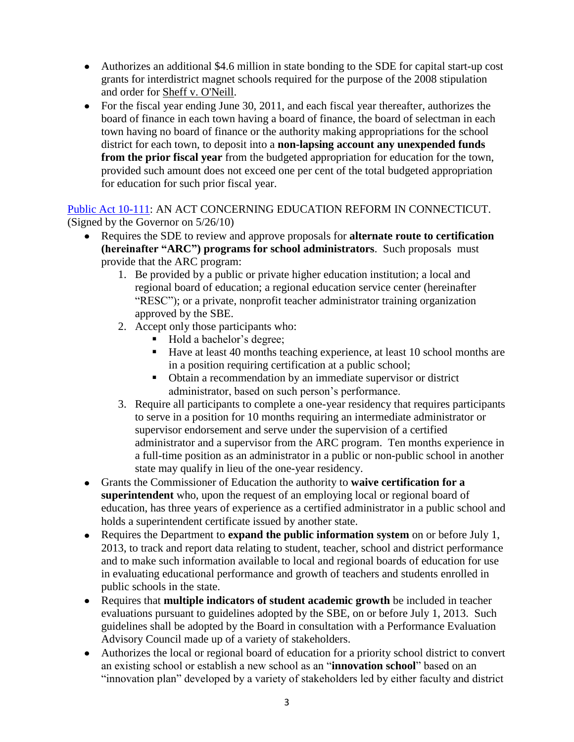- Authorizes an additional \$4.6 million in state bonding to the SDE for capital start-up cost grants for interdistrict magnet schools required for the purpose of the 2008 stipulation and order for Sheff v. O'Neill.
- For the fiscal year ending June 30, 2011, and each fiscal year thereafter, authorizes the board of finance in each town having a board of finance, the board of selectman in each town having no board of finance or the authority making appropriations for the school district for each town, to deposit into a **non-lapsing account any unexpended funds from the prior fiscal year** from the budgeted appropriation for education for the town, provided such amount does not exceed one per cent of the total budgeted appropriation for education for such prior fiscal year.

[Public Act 10-111:](http://www.cga.ct.gov/2010/ACT/Pa/pdf/2010PA-00111-R00SB-00438-PA.pdf) AN ACT CONCERNING EDUCATION REFORM IN CONNECTICUT. (Signed by the Governor on 5/26/10)

- Requires the SDE to review and approve proposals for **alternate route to certification (hereinafter "ARC") programs for school administrators**. Such proposals must provide that the ARC program:
	- 1. Be provided by a public or private higher education institution; a local and regional board of education; a regional education service center (hereinafter "RESC"); or a private, nonprofit teacher administrator training organization approved by the SBE.
	- 2. Accept only those participants who:
		- Hold a bachelor's degree;
		- Have at least 40 months teaching experience, at least 10 school months are in a position requiring certification at a public school;
		- Obtain a recommendation by an immediate supervisor or district administrator, based on such person's performance.
	- 3. Require all participants to complete a one-year residency that requires participants to serve in a position for 10 months requiring an intermediate administrator or supervisor endorsement and serve under the supervision of a certified administrator and a supervisor from the ARC program. Ten months experience in a full-time position as an administrator in a public or non-public school in another state may qualify in lieu of the one-year residency.
- Grants the Commissioner of Education the authority to **waive certification for a superintendent** who, upon the request of an employing local or regional board of education, has three years of experience as a certified administrator in a public school and holds a superintendent certificate issued by another state.
- Requires the Department to **expand the public information system** on or before July 1, 2013, to track and report data relating to student, teacher, school and district performance and to make such information available to local and regional boards of education for use in evaluating educational performance and growth of teachers and students enrolled in public schools in the state.
- Requires that **multiple indicators of student academic growth** be included in teacher  $\bullet$ evaluations pursuant to guidelines adopted by the SBE, on or before July 1, 2013. Such guidelines shall be adopted by the Board in consultation with a Performance Evaluation Advisory Council made up of a variety of stakeholders.
- Authorizes the local or regional board of education for a priority school district to convert an existing school or establish a new school as an "**innovation school**" based on an "innovation plan" developed by a variety of stakeholders led by either faculty and district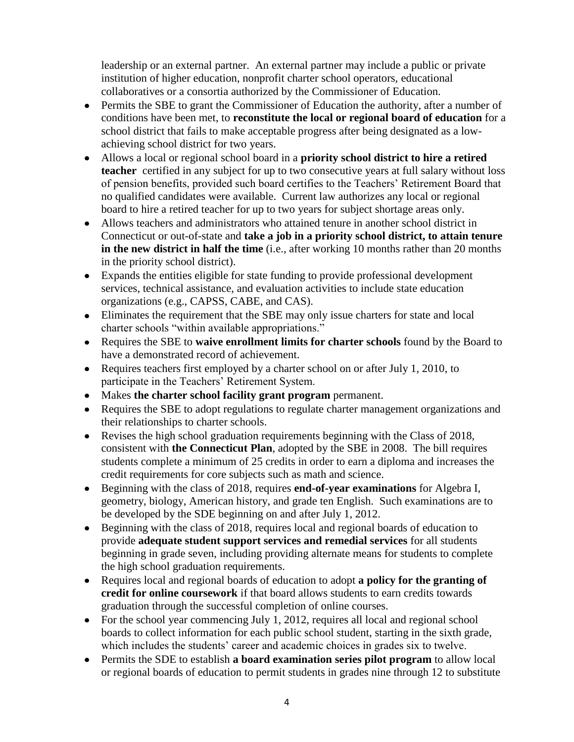leadership or an external partner. An external partner may include a public or private institution of higher education, nonprofit charter school operators, educational collaboratives or a consortia authorized by the Commissioner of Education.

- Permits the SBE to grant the Commissioner of Education the authority, after a number of conditions have been met, to **reconstitute the local or regional board of education** for a school district that fails to make acceptable progress after being designated as a lowachieving school district for two years.
- Allows a local or regional school board in a **priority school district to hire a retired teacher** certified in any subject for up to two consecutive years at full salary without loss of pension benefits, provided such board certifies to the Teachers' Retirement Board that no qualified candidates were available. Current law authorizes any local or regional board to hire a retired teacher for up to two years for subject shortage areas only.
- Allows teachers and administrators who attained tenure in another school district in Connecticut or out-of-state and **take a job in a priority school district, to attain tenure in the new district in half the time** (i.e., after working 10 months rather than 20 months in the priority school district).
- Expands the entities eligible for state funding to provide professional development services, technical assistance, and evaluation activities to include state education organizations (e.g., CAPSS, CABE, and CAS).
- Eliminates the requirement that the SBE may only issue charters for state and local charter schools "within available appropriations."
- Requires the SBE to **waive enrollment limits for charter schools** found by the Board to have a demonstrated record of achievement.
- Requires teachers first employed by a charter school on or after July 1, 2010, to participate in the Teachers' Retirement System.
- Makes **the charter school facility grant program** permanent.
- Requires the SBE to adopt regulations to regulate charter management organizations and their relationships to charter schools.
- Revises the high school graduation requirements beginning with the Class of 2018, consistent with **the Connecticut Plan**, adopted by the SBE in 2008. The bill requires students complete a minimum of 25 credits in order to earn a diploma and increases the credit requirements for core subjects such as math and science.
- Beginning with the class of 2018, requires **end-of-year examinations** for Algebra I, geometry, biology, American history, and grade ten English. Such examinations are to be developed by the SDE beginning on and after July 1, 2012.
- Beginning with the class of 2018, requires local and regional boards of education to provide **adequate student support services and remedial services** for all students beginning in grade seven, including providing alternate means for students to complete the high school graduation requirements.
- Requires local and regional boards of education to adopt **a policy for the granting of credit for online coursework** if that board allows students to earn credits towards graduation through the successful completion of online courses.
- For the school year commencing July 1, 2012, requires all local and regional school boards to collect information for each public school student, starting in the sixth grade, which includes the students' career and academic choices in grades six to twelve.
- Permits the SDE to establish **a board examination series pilot program** to allow local or regional boards of education to permit students in grades nine through 12 to substitute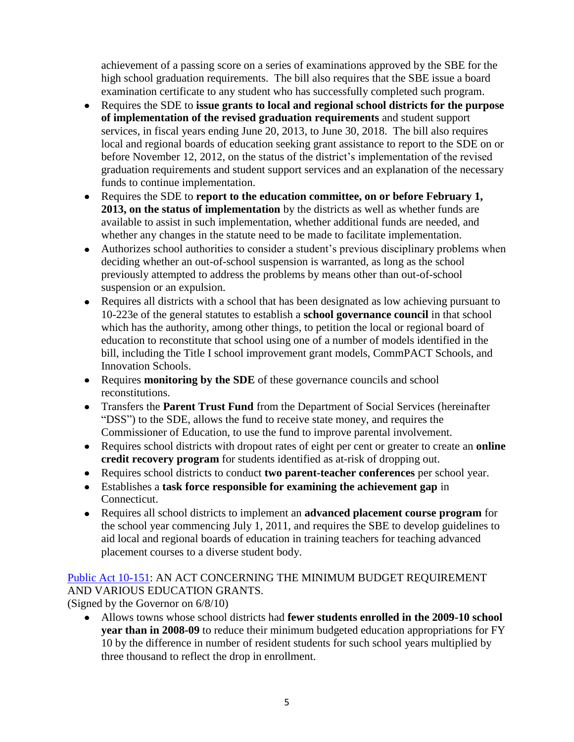achievement of a passing score on a series of examinations approved by the SBE for the high school graduation requirements. The bill also requires that the SBE issue a board examination certificate to any student who has successfully completed such program.

- $\bullet$ Requires the SDE to **issue grants to local and regional school districts for the purpose of implementation of the revised graduation requirements** and student support services, in fiscal years ending June 20, 2013, to June 30, 2018. The bill also requires local and regional boards of education seeking grant assistance to report to the SDE on or before November 12, 2012, on the status of the district's implementation of the revised graduation requirements and student support services and an explanation of the necessary funds to continue implementation.
- Requires the SDE to **report to the education committee, on or before February 1, 2013, on the status of implementation** by the districts as well as whether funds are available to assist in such implementation, whether additional funds are needed, and whether any changes in the statute need to be made to facilitate implementation.
- Authorizes school authorities to consider a student's previous disciplinary problems when deciding whether an out-of-school suspension is warranted, as long as the school previously attempted to address the problems by means other than out-of-school suspension or an expulsion.
- Requires all districts with a school that has been designated as low achieving pursuant to 10-223e of the general statutes to establish a **school governance council** in that school which has the authority, among other things, to petition the local or regional board of education to reconstitute that school using one of a number of models identified in the bill, including the Title I school improvement grant models, CommPACT Schools, and Innovation Schools.
- Requires **monitoring by the SDE** of these governance councils and school reconstitutions.
- Transfers the **Parent Trust Fund** from the Department of Social Services (hereinafter "DSS") to the SDE, allows the fund to receive state money, and requires the Commissioner of Education, to use the fund to improve parental involvement.
- Requires school districts with dropout rates of eight per cent or greater to create an **online credit recovery program** for students identified as at-risk of dropping out.
- Requires school districts to conduct **two parent-teacher conferences** per school year.
- Establishes a **task force responsible for examining the achievement gap** in Connecticut.
- Requires all school districts to implement an **advanced placement course program** for the school year commencing July 1, 2011, and requires the SBE to develop guidelines to aid local and regional boards of education in training teachers for teaching advanced placement courses to a diverse student body.

# [Public Act 10-151:](http://www.cga.ct.gov/2010/ACT/Pa/pdf/2010PA-00151-R00HB-05490-PA.pdf) AN ACT CONCERNING THE MINIMUM BUDGET REQUIREMENT AND VARIOUS EDUCATION GRANTS.

(Signed by the Governor on 6/8/10)

Allows towns whose school districts had **fewer students enrolled in the 2009-10 school year than in 2008-09** to reduce their minimum budgeted education appropriations for FY 10 by the difference in number of resident students for such school years multiplied by three thousand to reflect the drop in enrollment.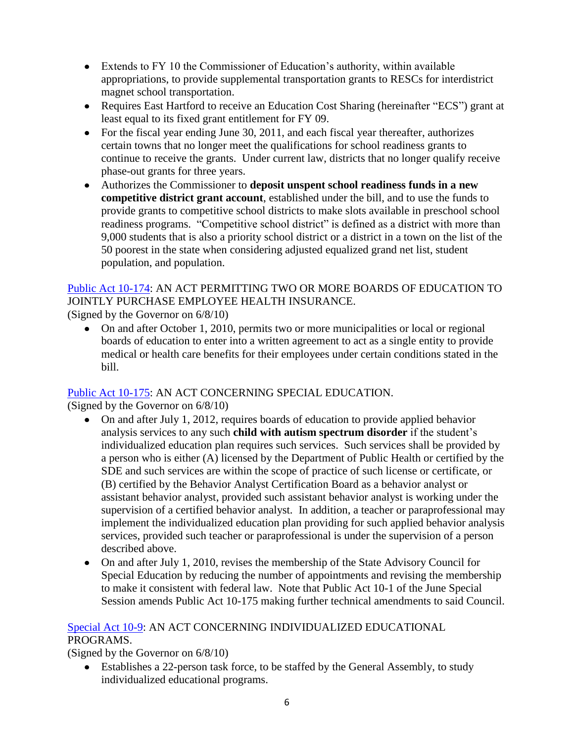- Extends to FY 10 the Commissioner of Education's authority, within available appropriations, to provide supplemental transportation grants to RESCs for interdistrict magnet school transportation.
- Requires East Hartford to receive an Education Cost Sharing (hereinafter "ECS") grant at least equal to its fixed grant entitlement for FY 09.
- For the fiscal year ending June 30, 2011, and each fiscal year thereafter, authorizes certain towns that no longer meet the qualifications for school readiness grants to continue to receive the grants. Under current law, districts that no longer qualify receive phase-out grants for three years.
- Authorizes the Commissioner to **deposit unspent school readiness funds in a new competitive district grant account**, established under the bill, and to use the funds to provide grants to competitive school districts to make slots available in preschool school readiness programs. "Competitive school district" is defined as a district with more than 9,000 students that is also a priority school district or a district in a town on the list of the 50 poorest in the state when considering adjusted equalized grand net list, student population, and population.

# [Public Act 10-174:](http://www.cga.ct.gov/2010/ACT/Pa/pdf/2010PA-00174-R00HB-05424-PA.pdf) AN ACT PERMITTING TWO OR MORE BOARDS OF EDUCATION TO JOINTLY PURCHASE EMPLOYEE HEALTH INSURANCE.

(Signed by the Governor on 6/8/10)

On and after October 1, 2010, permits two or more municipalities or local or regional boards of education to enter into a written agreement to act as a single entity to provide medical or health care benefits for their employees under certain conditions stated in the bill.

# [Public Act 10-175:](http://www.cga.ct.gov/2010/ACT/Pa/pdf/2010PA-00175-R00HB-05425-PA.pdf) AN ACT CONCERNING SPECIAL EDUCATION.

(Signed by the Governor on 6/8/10)

- On and after July 1, 2012, requires boards of education to provide applied behavior analysis services to any such **child with autism spectrum disorder** if the student's individualized education plan requires such services. Such services shall be provided by a person who is either (A) licensed by the Department of Public Health or certified by the SDE and such services are within the scope of practice of such license or certificate, or (B) certified by the Behavior Analyst Certification Board as a behavior analyst or assistant behavior analyst, provided such assistant behavior analyst is working under the supervision of a certified behavior analyst. In addition, a teacher or paraprofessional may implement the individualized education plan providing for such applied behavior analysis services, provided such teacher or paraprofessional is under the supervision of a person described above.
- On and after July 1, 2010, revises the membership of the State Advisory Council for Special Education by reducing the number of appointments and revising the membership to make it consistent with federal law. Note that Public Act 10-1 of the June Special Session amends Public Act 10-175 making further technical amendments to said Council.

# [Special Act 10-9:](http://www.cga.ct.gov/2010/ACT/sa/pdf/2010SA-00009-R00HB-05426-SA.pdf) AN ACT CONCERNING INDIVIDUALIZED EDUCATIONAL PROGRAMS.

(Signed by the Governor on 6/8/10)

Establishes a 22-person task force, to be staffed by the General Assembly, to study individualized educational programs.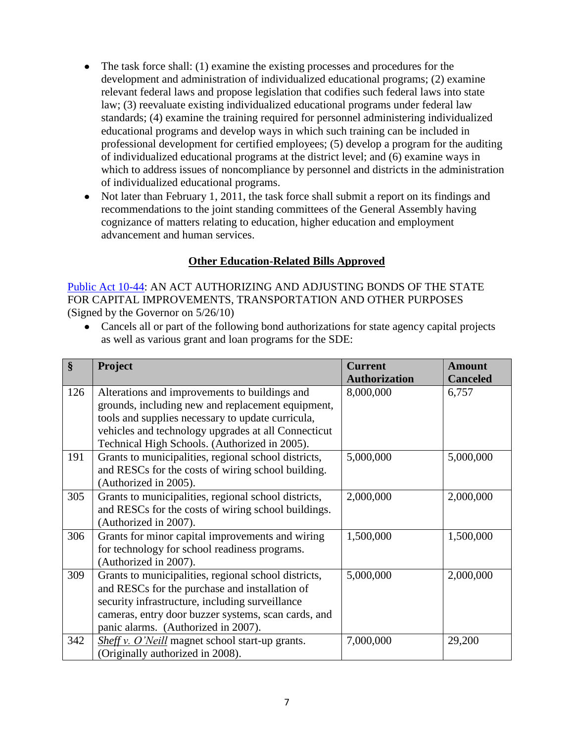- The task force shall: (1) examine the existing processes and procedures for the development and administration of individualized educational programs; (2) examine relevant federal laws and propose legislation that codifies such federal laws into state law; (3) reevaluate existing individualized educational programs under federal law standards; (4) examine the training required for personnel administering individualized educational programs and develop ways in which such training can be included in professional development for certified employees; (5) develop a program for the auditing of individualized educational programs at the district level; and (6) examine ways in which to address issues of noncompliance by personnel and districts in the administration of individualized educational programs.
- Not later than February 1, 2011, the task force shall submit a report on its findings and  $\bullet$ recommendations to the joint standing committees of the General Assembly having cognizance of matters relating to education, higher education and employment advancement and human services.

# **Other Education-Related Bills Approved**

[Public Act 10-44:](http://www.cga.ct.gov/2010/ACT/Pa/pdf/2010PA-00044-R00SB-00025-PA.pdf) AN ACT AUTHORIZING AND ADJUSTING BONDS OF THE STATE FOR CAPITAL IMPROVEMENTS, TRANSPORTATION AND OTHER PURPOSES (Signed by the Governor on 5/26/10)

Cancels all or part of the following bond authorizations for state agency capital projects as well as various grant and loan programs for the SDE:

| $\S$ | <b>Project</b>                                                                                                                                                                                                                                                  | <b>Current</b><br><b>Authorization</b> | <b>Amount</b><br><b>Canceled</b> |
|------|-----------------------------------------------------------------------------------------------------------------------------------------------------------------------------------------------------------------------------------------------------------------|----------------------------------------|----------------------------------|
| 126  | Alterations and improvements to buildings and<br>grounds, including new and replacement equipment,<br>tools and supplies necessary to update curricula,<br>vehicles and technology upgrades at all Connecticut<br>Technical High Schools. (Authorized in 2005). | 8,000,000                              | 6,757                            |
| 191  | Grants to municipalities, regional school districts,<br>and RESCs for the costs of wiring school building.<br>(Authorized in 2005).                                                                                                                             | 5,000,000                              | 5,000,000                        |
| 305  | Grants to municipalities, regional school districts,<br>and RESCs for the costs of wiring school buildings.<br>(Authorized in 2007).                                                                                                                            | 2,000,000                              | 2,000,000                        |
| 306  | Grants for minor capital improvements and wiring<br>for technology for school readiness programs.<br>(Authorized in 2007).                                                                                                                                      | 1,500,000                              | 1,500,000                        |
| 309  | Grants to municipalities, regional school districts,<br>and RESCs for the purchase and installation of<br>security infrastructure, including surveillance<br>cameras, entry door buzzer systems, scan cards, and<br>panic alarms. (Authorized in 2007).         | 5,000,000                              | 2,000,000                        |
| 342  | Sheff v. O'Neill magnet school start-up grants.<br>(Originally authorized in 2008).                                                                                                                                                                             | 7,000,000                              | 29,200                           |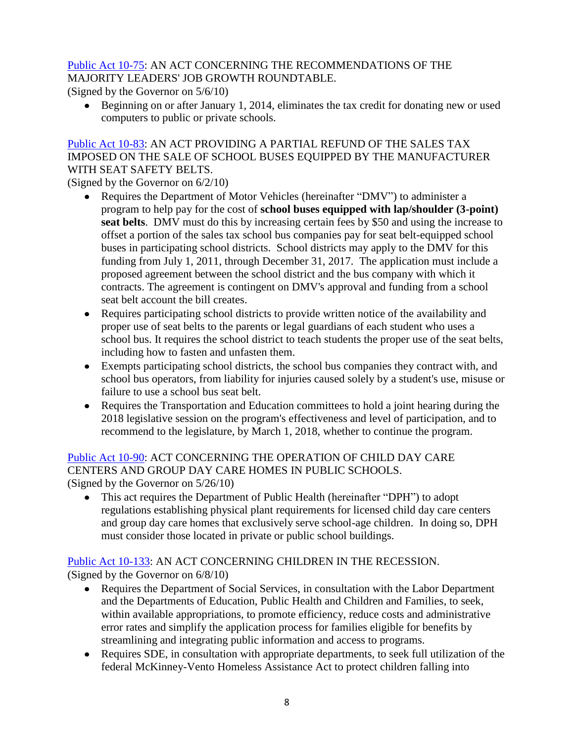# [Public Act 10-75:](http://www.cga.ct.gov/2010/ACT/Pa/pdf/2010PA-00075-R00HB-05435-PA.pdf) AN ACT CONCERNING THE RECOMMENDATIONS OF THE MAJORITY LEADERS' JOB GROWTH ROUNDTABLE.

(Signed by the Governor on 5/6/10)

Beginning on or after January 1, 2014, eliminates the tax credit for donating new or used computers to public or private schools.

# [Public Act 10-83:](http://www.cga.ct.gov/2010/ACT/Pa/pdf/2010PA-00083-R00HB-05033-PA.pdf) AN ACT PROVIDING A PARTIAL REFUND OF THE SALES TAX IMPOSED ON THE SALE OF SCHOOL BUSES EQUIPPED BY THE MANUFACTURER WITH SEAT SAFETY BELTS.

(Signed by the Governor on 6/2/10)

- Requires the Department of Motor Vehicles (hereinafter "DMV") to administer a program to help pay for the cost of **school buses equipped with lap/shoulder (3-point) seat belts**. DMV must do this by increasing certain fees by \$50 and using the increase to offset a portion of the sales tax school bus companies pay for seat belt-equipped school buses in participating school districts. School districts may apply to the DMV for this funding from July 1, 2011, through December 31, 2017. The application must include a proposed agreement between the school district and the bus company with which it contracts. The agreement is contingent on DMV's approval and funding from a school seat belt account the bill creates.
- Requires participating school districts to provide written notice of the availability and proper use of seat belts to the parents or legal guardians of each student who uses a school bus. It requires the school district to teach students the proper use of the seat belts, including how to fasten and unfasten them.
- Exempts participating school districts, the school bus companies they contract with, and school bus operators, from liability for injuries caused solely by a student's use, misuse or failure to use a school bus seat belt.
- Requires the Transportation and Education committees to hold a joint hearing during the 2018 legislative session on the program's effectiveness and level of participation, and to recommend to the legislature, by March 1, 2018, whether to continue the program.

### [Public Act 10-90:](http://www.cga.ct.gov/2010/ACT/Pa/pdf/2010PA-00090-R00HB-05306-PA.pdf) ACT CONCERNING THE OPERATION OF CHILD DAY CARE CENTERS AND GROUP DAY CARE HOMES IN PUBLIC SCHOOLS. (Signed by the Governor on 5/26/10)

This act requires the Department of Public Health (hereinafter "DPH") to adopt regulations establishing physical plant requirements for licensed child day care centers and group day care homes that exclusively serve school-age children. In doing so, DPH must consider those located in private or public school buildings.

# [Public Act 10-133:](http://www.cga.ct.gov/2010/ACT/Pa/pdf/2010PA-00133-R00HB-05360-PA.pdf) AN ACT CONCERNING CHILDREN IN THE RECESSION.

(Signed by the Governor on 6/8/10)

- Requires the Department of Social Services, in consultation with the Labor Department and the Departments of Education, Public Health and Children and Families, to seek, within available appropriations, to promote efficiency, reduce costs and administrative error rates and simplify the application process for families eligible for benefits by streamlining and integrating public information and access to programs.
- Requires SDE, in consultation with appropriate departments, to seek full utilization of the federal McKinney-Vento Homeless Assistance Act to protect children falling into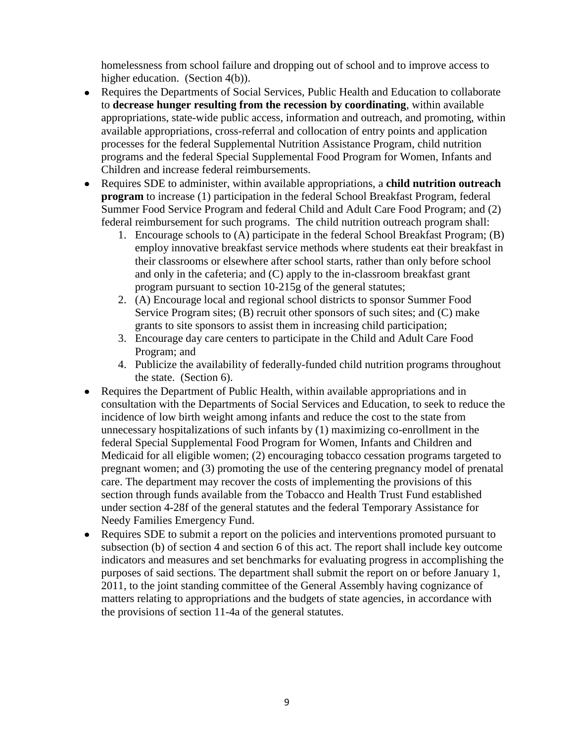homelessness from school failure and dropping out of school and to improve access to higher education. (Section 4(b)).

- Requires the Departments of Social Services, Public Health and Education to collaborate to **decrease hunger resulting from the recession by coordinating**, within available appropriations, state-wide public access, information and outreach, and promoting, within available appropriations, cross-referral and collocation of entry points and application processes for the federal Supplemental Nutrition Assistance Program, child nutrition programs and the federal Special Supplemental Food Program for Women, Infants and Children and increase federal reimbursements.
- Requires SDE to administer, within available appropriations, a **child nutrition outreach program** to increase (1) participation in the federal School Breakfast Program, federal Summer Food Service Program and federal Child and Adult Care Food Program; and (2) federal reimbursement for such programs. The child nutrition outreach program shall:
	- 1. Encourage schools to (A) participate in the federal School Breakfast Program; (B) employ innovative breakfast service methods where students eat their breakfast in their classrooms or elsewhere after school starts, rather than only before school and only in the cafeteria; and (C) apply to the in-classroom breakfast grant program pursuant to section 10-215g of the general statutes;
	- 2. (A) Encourage local and regional school districts to sponsor Summer Food Service Program sites; (B) recruit other sponsors of such sites; and (C) make grants to site sponsors to assist them in increasing child participation;
	- 3. Encourage day care centers to participate in the Child and Adult Care Food Program; and
	- 4. Publicize the availability of federally-funded child nutrition programs throughout the state. (Section 6).
- Requires the Department of Public Health, within available appropriations and in consultation with the Departments of Social Services and Education, to seek to reduce the incidence of low birth weight among infants and reduce the cost to the state from unnecessary hospitalizations of such infants by (1) maximizing co-enrollment in the federal Special Supplemental Food Program for Women, Infants and Children and Medicaid for all eligible women; (2) encouraging tobacco cessation programs targeted to pregnant women; and (3) promoting the use of the centering pregnancy model of prenatal care. The department may recover the costs of implementing the provisions of this section through funds available from the Tobacco and Health Trust Fund established under section 4-28f of the general statutes and the federal Temporary Assistance for Needy Families Emergency Fund.
- Requires SDE to submit a report on the policies and interventions promoted pursuant to subsection (b) of section 4 and section 6 of this act. The report shall include key outcome indicators and measures and set benchmarks for evaluating progress in accomplishing the purposes of said sections. The department shall submit the report on or before January 1, 2011, to the joint standing committee of the General Assembly having cognizance of matters relating to appropriations and the budgets of state agencies, in accordance with the provisions of section 11-4a of the general statutes.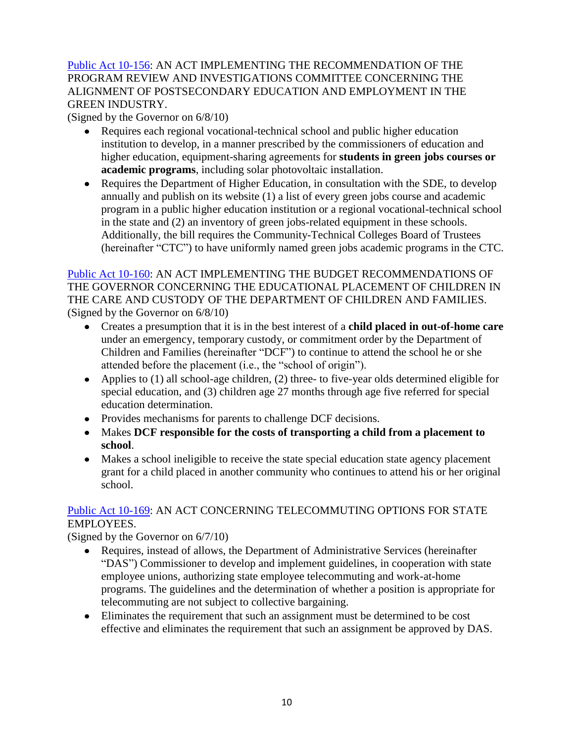[Public Act 10-156:](http://www.cga.ct.gov/2010/ACT/Pa/pdf/2010PA-00156-R00HB-05164-PA.pdf) AN ACT IMPLEMENTING THE RECOMMENDATION OF THE PROGRAM REVIEW AND INVESTIGATIONS COMMITTEE CONCERNING THE ALIGNMENT OF POSTSECONDARY EDUCATION AND EMPLOYMENT IN THE GREEN INDUSTRY.

(Signed by the Governor on 6/8/10)

- Requires each regional vocational-technical school and public higher education institution to develop, in a manner prescribed by the commissioners of education and higher education, equipment-sharing agreements for **students in green jobs courses or academic programs**, including solar photovoltaic installation.
- Requires the Department of Higher Education, in consultation with the SDE, to develop annually and publish on its website (1) a list of every green jobs course and academic program in a public higher education institution or a regional vocational-technical school in the state and (2) an inventory of green jobs-related equipment in these schools. Additionally, the bill requires the Community-Technical Colleges Board of Trustees (hereinafter "CTC") to have uniformly named green jobs academic programs in the CTC.

[Public Act 10-160:](http://www.cga.ct.gov/2010/ACT/Pa/pdf/2010PA-00160-R00SB-00031-PA.pdf) AN ACT IMPLEMENTING THE BUDGET RECOMMENDATIONS OF THE GOVERNOR CONCERNING THE EDUCATIONAL PLACEMENT OF CHILDREN IN THE CARE AND CUSTODY OF THE DEPARTMENT OF CHILDREN AND FAMILIES. (Signed by the Governor on 6/8/10)

- Creates a presumption that it is in the best interest of a **child placed in out-of-home care** under an emergency, temporary custody, or commitment order by the Department of Children and Families (hereinafter "DCF") to continue to attend the school he or she attended before the placement (i.e., the "school of origin").
- Applies to (1) all school-age children, (2) three- to five-year olds determined eligible for special education, and (3) children age 27 months through age five referred for special education determination.
- Provides mechanisms for parents to challenge DCF decisions.
- Makes **DCF responsible for the costs of transporting a child from a placement to school**.
- Makes a school ineligible to receive the state special education state agency placement grant for a child placed in another community who continues to attend his or her original school.

# [Public Act 10-169:](http://www.cga.ct.gov/2010/ACT/Pa/pdf/2010PA-00169-R00HB-05202-PA.pdf) AN ACT CONCERNING TELECOMMUTING OPTIONS FOR STATE EMPLOYEES.

(Signed by the Governor on 6/7/10)

- Requires, instead of allows, the Department of Administrative Services (hereinafter  $\bullet$ "DAS") Commissioner to develop and implement guidelines, in cooperation with state employee unions, authorizing state employee telecommuting and work-at-home programs. The guidelines and the determination of whether a position is appropriate for telecommuting are not subject to collective bargaining.
- Eliminates the requirement that such an assignment must be determined to be cost effective and eliminates the requirement that such an assignment be approved by DAS.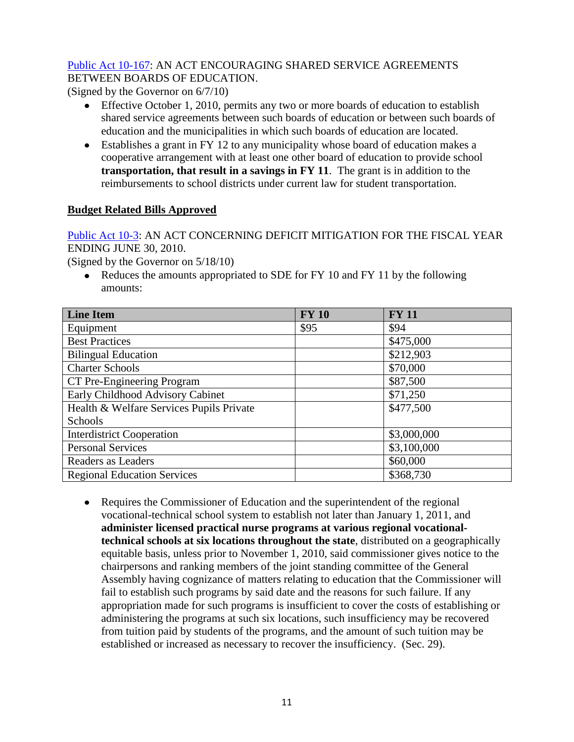# [Public Act 10-167:](http://www.cga.ct.gov/2010/ACT/Pa/pdf/2010PA-00167-R00HB-05336-PA.pdf) AN ACT ENCOURAGING SHARED SERVICE AGREEMENTS BETWEEN BOARDS OF EDUCATION.

(Signed by the Governor on 6/7/10)

- Effective October 1, 2010, permits any two or more boards of education to establish shared service agreements between such boards of education or between such boards of education and the municipalities in which such boards of education are located.
- Establishes a grant in FY 12 to any municipality whose board of education makes a cooperative arrangement with at least one other board of education to provide school **transportation, that result in a savings in FY 11**. The grant is in addition to the reimbursements to school districts under current law for student transportation.

### **Budget Related Bills Approved**

[Public Act 10-3:](http://www.cga.ct.gov/2010/ACT/Pa/pdf/2010PA-00003-R00HB-05545-PA.pdf) AN ACT CONCERNING DEFICIT MITIGATION FOR THE FISCAL YEAR ENDING JUNE 30, 2010.

(Signed by the Governor on 5/18/10)

• Reduces the amounts appropriated to SDE for FY 10 and FY 11 by the following amounts:

| <b>Line Item</b>                         | <b>FY 10</b> | <b>FY 11</b> |
|------------------------------------------|--------------|--------------|
| Equipment                                | \$95         | \$94         |
| <b>Best Practices</b>                    |              | \$475,000    |
| <b>Bilingual Education</b>               |              | \$212,903    |
| <b>Charter Schools</b>                   |              | \$70,000     |
| CT Pre-Engineering Program               |              | \$87,500     |
| Early Childhood Advisory Cabinet         |              | \$71,250     |
| Health & Welfare Services Pupils Private |              | \$477,500    |
| Schools                                  |              |              |
| <b>Interdistrict Cooperation</b>         |              | \$3,000,000  |
| <b>Personal Services</b>                 |              | \$3,100,000  |
| Readers as Leaders                       |              | \$60,000     |
| <b>Regional Education Services</b>       |              | \$368,730    |

Requires the Commissioner of Education and the superintendent of the regional  $\bullet$ vocational-technical school system to establish not later than January 1, 2011, and **administer licensed practical nurse programs at various regional vocationaltechnical schools at six locations throughout the state**, distributed on a geographically equitable basis, unless prior to November 1, 2010, said commissioner gives notice to the chairpersons and ranking members of the joint standing committee of the General Assembly having cognizance of matters relating to education that the Commissioner will fail to establish such programs by said date and the reasons for such failure. If any appropriation made for such programs is insufficient to cover the costs of establishing or administering the programs at such six locations, such insufficiency may be recovered from tuition paid by students of the programs, and the amount of such tuition may be established or increased as necessary to recover the insufficiency. (Sec. 29).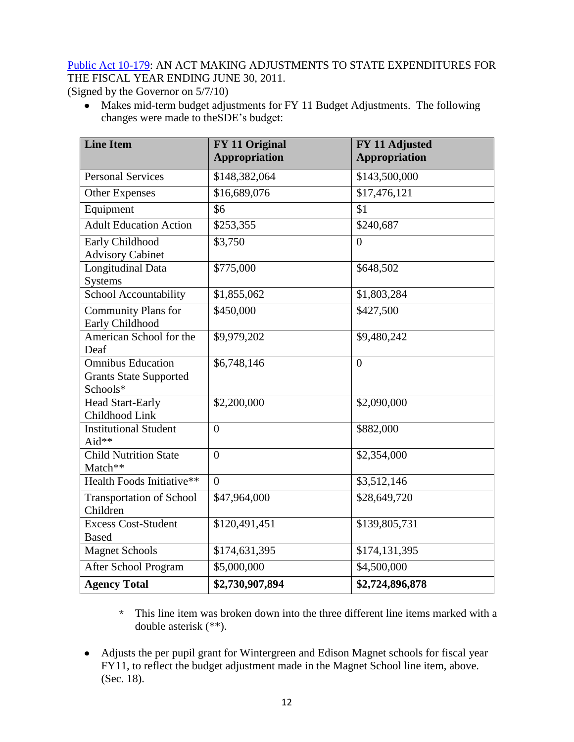# [Public Act 10-179:](http://www.cga.ct.gov/2010/ACT/Pa/pdf/2010PA-00179-R00SB-00494-PA.pdf) AN ACT MAKING ADJUSTMENTS TO STATE EXPENDITURES FOR THE FISCAL YEAR ENDING JUNE 30, 2011.

(Signed by the Governor on 5/7/10)

Makes mid-term budget adjustments for FY 11 Budget Adjustments. The following changes were made to theSDE's budget:

| <b>Line Item</b>                                                      | FY 11 Original<br><b>Appropriation</b> | FY 11 Adjusted<br><b>Appropriation</b> |
|-----------------------------------------------------------------------|----------------------------------------|----------------------------------------|
| <b>Personal Services</b>                                              | \$148,382,064                          | \$143,500,000                          |
| <b>Other Expenses</b>                                                 | \$16,689,076                           | \$17,476,121                           |
| Equipment                                                             | \$6                                    | \$1                                    |
| <b>Adult Education Action</b>                                         | \$253,355                              | \$240,687                              |
| Early Childhood<br><b>Advisory Cabinet</b>                            | \$3,750                                | $\overline{0}$                         |
| Longitudinal Data<br><b>Systems</b>                                   | \$775,000                              | \$648,502                              |
| School Accountability                                                 | \$1,855,062                            | \$1,803,284                            |
| <b>Community Plans for</b><br>Early Childhood                         | \$450,000                              | \$427,500                              |
| American School for the<br>Deaf                                       | \$9,979,202                            | \$9,480,242                            |
| <b>Omnibus Education</b><br><b>Grants State Supported</b><br>Schools* | \$6,748,146                            | $\overline{0}$                         |
| <b>Head Start-Early</b><br>Childhood Link                             | \$2,200,000                            | \$2,090,000                            |
| <b>Institutional Student</b><br>Aid**                                 | $\overline{0}$                         | \$882,000                              |
| Child Nutrition State<br>Match**                                      | $\overline{0}$                         | \$2,354,000                            |
| Health Foods Initiative**                                             | $\overline{0}$                         | \$3,512,146                            |
| <b>Transportation of School</b><br>Children                           | \$47,964,000                           | \$28,649,720                           |
| <b>Excess Cost-Student</b><br><b>Based</b>                            | \$120,491,451                          | \$139,805,731                          |
| Magnet Schools                                                        | \$174,631,395                          | \$174,131,395                          |
| After School Program                                                  | \$5,000,000                            | \$4,500,000                            |
| <b>Agency Total</b>                                                   | \$2,730,907,894                        | \$2,724,896,878                        |

- \* This line item was broken down into the three different line items marked with a double asterisk (\*\*).
- Adjusts the per pupil grant for Wintergreen and Edison Magnet schools for fiscal year FY11, to reflect the budget adjustment made in the Magnet School line item, above. (Sec. 18).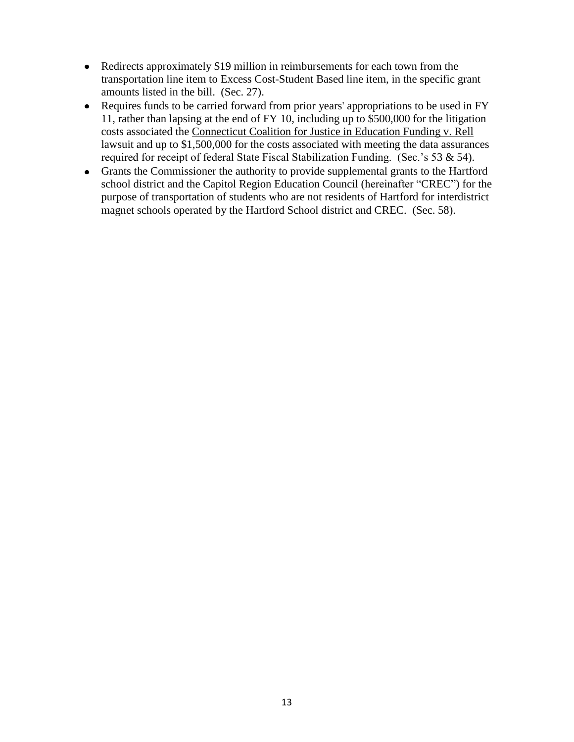- Redirects approximately \$19 million in reimbursements for each town from the transportation line item to Excess Cost-Student Based line item, in the specific grant amounts listed in the bill. (Sec. 27).
- Requires funds to be carried forward from prior years' appropriations to be used in FY 11, rather than lapsing at the end of FY 10, including up to \$500,000 for the litigation costs associated the Connecticut Coalition for Justice in Education Funding v. Rell lawsuit and up to \$1,500,000 for the costs associated with meeting the data assurances required for receipt of federal State Fiscal Stabilization Funding. (Sec.'s 53 & 54).
- Grants the Commissioner the authority to provide supplemental grants to the Hartford school district and the Capitol Region Education Council (hereinafter "CREC") for the purpose of transportation of students who are not residents of Hartford for interdistrict magnet schools operated by the Hartford School district and CREC. (Sec. 58).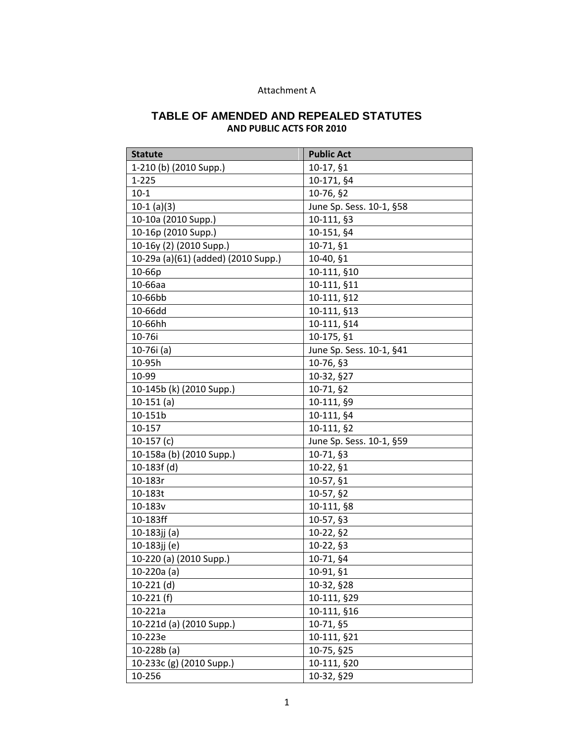#### Attachment A

# **TABLE OF AMENDED AND REPEALED STATUTES AND PUBLIC ACTS FOR 2010**

| <b>Statute</b>                      | <b>Public Act</b>        |
|-------------------------------------|--------------------------|
| 1-210 (b) (2010 Supp.)              | 10-17, §1                |
| $1 - 225$                           | 10-171, §4               |
| $10-1$                              | 10-76, §2                |
| $10-1$ (a)(3)                       | June Sp. Sess. 10-1, §58 |
| 10-10a (2010 Supp.)                 | 10-111, §3               |
| 10-16p (2010 Supp.)                 | 10-151, §4               |
| 10-16y (2) (2010 Supp.)             | 10-71, §1                |
| 10-29a (a)(61) (added) (2010 Supp.) | 10-40, §1                |
| 10-66p                              | 10-111, §10              |
| 10-66aa                             | 10-111, §11              |
| 10-66bb                             | 10-111, §12              |
| 10-66dd                             | 10-111, §13              |
| 10-66hh                             | 10-111, §14              |
| 10-76i                              | 10-175, §1               |
| $10-76i(a)$                         | June Sp. Sess. 10-1, §41 |
| 10-95h                              | $10-76, $3$              |
| 10-99                               | 10-32, §27               |
| 10-145b (k) (2010 Supp.)            | 10-71, §2                |
| $10-151$ (a)                        | 10-111, §9               |
| 10-151b                             | 10-111, §4               |
| 10-157                              | 10-111, §2               |
| 10-157 $(c)$                        | June Sp. Sess. 10-1, §59 |
| 10-158a (b) (2010 Supp.)            | 10-71, §3                |
| $10-183f(d)$                        | 10-22, §1                |
| 10-183r                             | 10-57, §1                |
| $10-183t$                           | $10-57,$ §2              |
| 10-183v                             | 10-111, §8               |
| 10-183ff                            | 10-57, §3                |
| 10-183jj (a)                        | $10-22, 92$              |
| 10-183jj (e)                        | 10-22, §3                |
| 10-220 (a) (2010 Supp.)             | 10-71, §4                |
| 10-220a (a)                         | 10-91, §1                |
| $10-221$ (d)                        | 10-32, §28               |
| $10-221$ (f)                        | 10-111, §29              |
| 10-221a                             | 10-111, §16              |
| 10-221d (a) (2010 Supp.)            | 10-71, §5                |
| 10-223e                             | 10-111, §21              |
| $10-228b(a)$                        | 10-75, §25               |
| 10-233c (g) (2010 Supp.)            | 10-111, §20              |
| 10-256                              | 10-32, §29               |